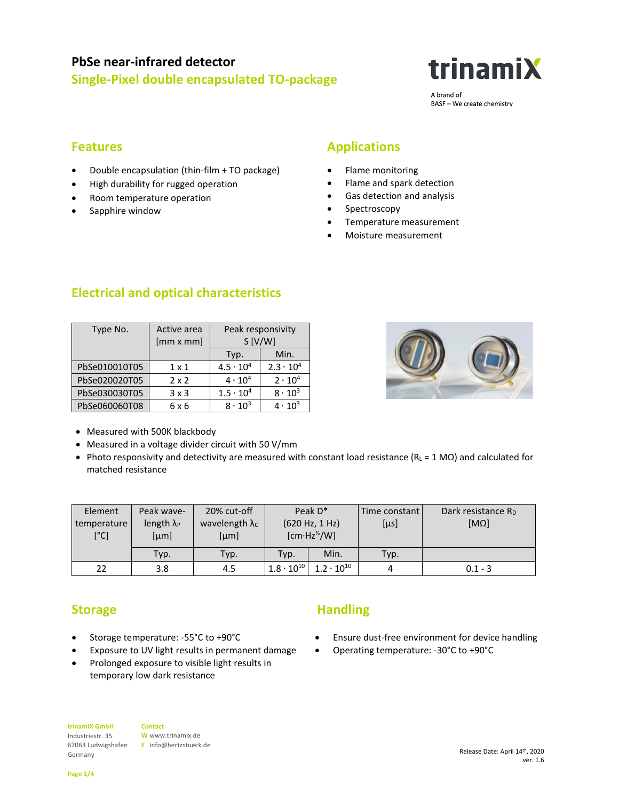

A hrand of BASF - We create chemistry

#### **Features**

• Double encapsulation (thin-film + TO package)

**Electrical and optical characteristics**

- High durability for rugged operation
- Room temperature operation
- Sapphire window

#### **Applications**

- Flame monitoring
- Flame and spark detection
- Gas detection and analysis
- Spectroscopy
- Temperature measurement
- Moisture measurement

| Type No.      | Active area<br>$[mm \times mm]$ | Peak responsivity<br>S[V/W] |                    |
|---------------|---------------------------------|-----------------------------|--------------------|
|               |                                 | Typ.                        | Min.               |
| PbSe010010T05 | $1 \times 1$                    | $4.5 \cdot 10^{4}$          | $2.3 \cdot 10^{4}$ |
| PbSe020020T05 | $2 \times 2$                    | $4 \cdot 10^{4}$            | $2 \cdot 10^{4}$   |
| PbSe030030T05 | $3 \times 3$                    | $1.5 \cdot 10^{4}$          | $8 \cdot 10^{3}$   |
| PbSe060060T08 | 6 x 6                           | $8 \cdot 10^{3}$            | $4 \cdot 10^{3}$   |



- Measured with 500K blackbody
- Measured in a voltage divider circuit with 50 V/mm
- Photo responsivity and detectivity are measured with constant load resistance (R<sub>L</sub> = 1 MΩ) and calculated for matched resistance

| Element       | Peak wave-           | 20% cut-off            | Peak D <sup>*</sup>                                    |                     | Time constant | Dark resistance $R_D$ |
|---------------|----------------------|------------------------|--------------------------------------------------------|---------------------|---------------|-----------------------|
| temperature   | length $\lambda_{P}$ | wavelength $\lambda_c$ | (620 Hz, 1 Hz)                                         |                     | [µs]          | $[M\Omega]$           |
| $[^{\circ}C]$ | [µm]                 | [µm]                   | [cm $\cdot$ Hz <sup><math>\frac{y}{2}</math></sup> /W] |                     |               |                       |
|               | Typ.                 | Typ.                   | Typ.                                                   | Min.                | Typ.          |                       |
| 22            | 3.8                  | 4.5                    | $1.8 \cdot 10^{10}$                                    | $1.2 \cdot 10^{10}$ |               | $0.1 - 3$             |

- Storage temperature: -55°C to +90°C
- Exposure to UV light results in permanent damage
- Prolonged exposure to visible light results in temporary low dark resistance

#### **Storage Handling**

- Ensure dust-free environment for device handling
- Operating temperature: -30°C to +90°C

**trinamiX GmbH**  Industriestr. 35 Germany

67063 Ludwigshafen **E** info@hertzstueck.de **Contact W** www.trinamix.de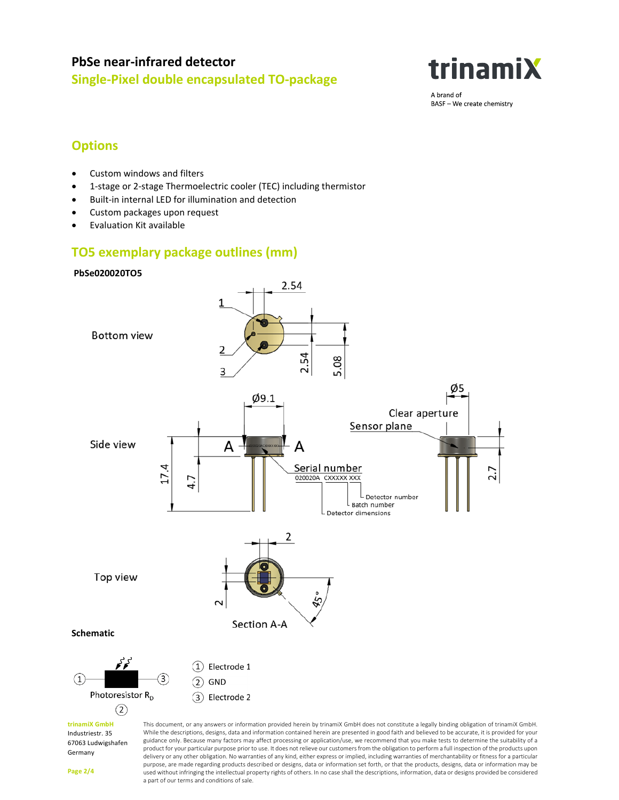

A brand of BASF - We create chemistry

#### **Options**

- Custom windows and filters
- 1-stage or 2-stage Thermoelectric cooler (TEC) including thermistor
- Built-in internal LED for illumination and detection
- Custom packages upon request
- Evaluation Kit available

#### **TO5 exemplary package outlines (mm)**



Industriestr. 35

**Page 2/4**

67063 Ludwigshafen Germany

This document, or any answers or information provided herein by trinamiX GmbH does not constitute a legally binding obligation of trinamiX GmbH. While the descriptions, designs, data and information contained herein are presented in good faith and believed to be accurate, it is provided for your guidance only. Because many factors may affect processing or application/use, we recommend that you make tests to determine the suitability of a product for your particular purpose prior to use. It does not relieve our customers from the obligation to perform a full inspection of the products upon delivery or any other obligation. No warranties of any kind, either express or implied, including warranties of merchantability or fitness for a particular purpose, are made regarding products described or designs, data or information set forth, or that the products, designs, data or information may be used without infringing the intellectual property rights of others. In no case shall the descriptions, information, data or designs provided be considered a part of our terms and conditions of sale.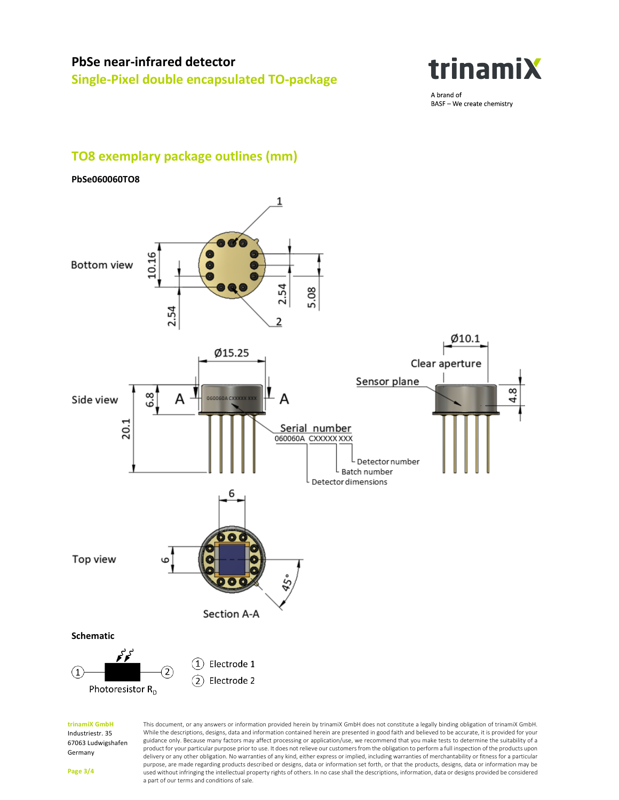

A brand of BASF - We create chemistry

#### **TO8 exemplary package outlines (mm)**

**PbSe060060TO8**



**trinamiX GmbH**  Industriestr. 35

67063 Ludwigshafen Germany

This document, or any answers or information provided herein by trinamiX GmbH does not constitute a legally binding obligation of trinamiX GmbH. While the descriptions, designs, data and information contained herein are presented in good faith and believed to be accurate, it is provided for your guidance only. Because many factors may affect processing or application/use, we recommend that you make tests to determine the suitability of a product for your particular purpose prior to use. It does not relieve our customers from the obligation to perform a full inspection of the products upon delivery or any other obligation. No warranties of any kind, either express or implied, including warranties of merchantability or fitness for a particular purpose, are made regarding products described or designs, data or information set forth, or that the products, designs, data or information may be used without infringing the intellectual property rights of others. In no case shall the descriptions, information, data or designs provided be considered a part of our terms and conditions of sale.